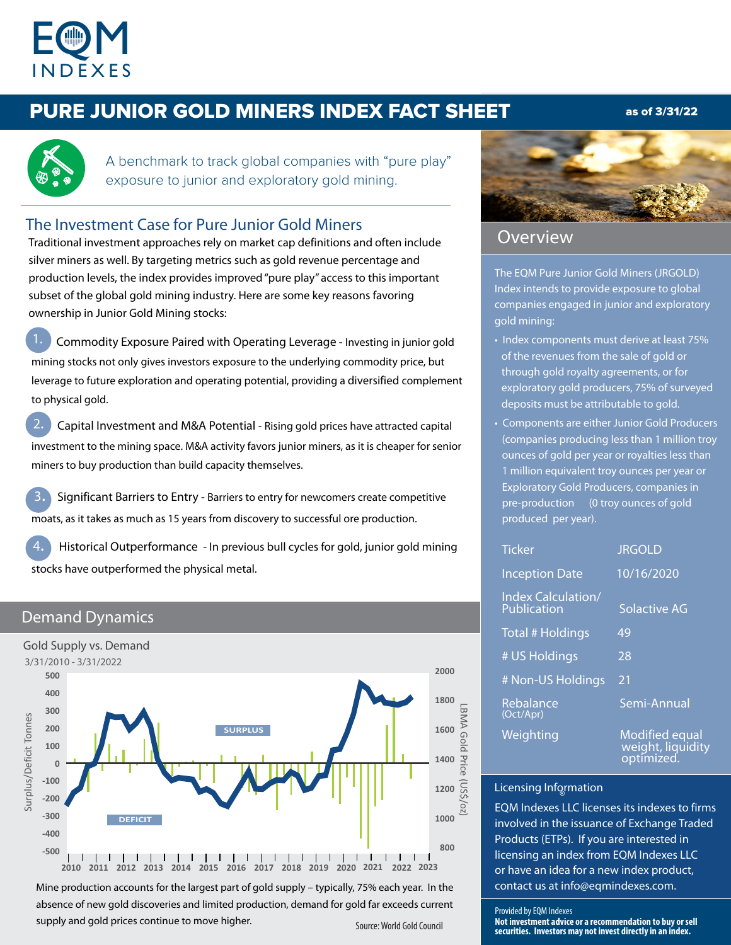

# PURE JUNIOR GOLD MINERS INDEX FACT SHEET as of 3/31/22



A benchmark to track global companies with "pure play" exposure to junior and exploratory gold mining.

# The Investment Case for Pure Junior Gold Miners

Traditional investment approaches rely on market cap definitions and often include silver miners as well. By targeting metrics such as gold revenue percentage and production levels, the index provides improved "pure play" access to this important subset of the global gold mining industry. Here are some key reasons favoring ownership in Junior Gold Mining stocks:

 Commodity Exposure Paired with Operating Leverage - Investing in junior gold mining stocks not only gives investors exposure to the underlying commodity price, but leverage to future exploration and operating potential, providing a diversified complement to physical gold.

2. Capital Investment and M&A Potential - Rising gold prices have attracted capital investment to the mining space. M&A activity favors junior miners, as it is cheaper for senior miners to buy production than build capacity themselves.

3. Significant Barriers to Entry - Barriers to entry for newcomers create competitive moats, as it takes as much as 15 years from discovery to successful ore production.

4. Historical Outperformance - In previous bull cycles for gold, junior gold mining stocks have outperformed the physical metal.

### Demand Dynamics



Source: World Gold Council Mine production accounts for the largest part of gold supply – typically, 75% each year. In the absence of new gold discoveries and limited production, demand for gold far exceeds current supply and gold prices continue to move higher.



# Overview

The EQM Pure Junior Gold Miners (JRGOLD) Index intends to provide exposure to global companies engaged in junior and exploratory gold mining:

- Index components must derive at least 75% of the revenues from the sale of gold or through gold royalty agreements, or for exploratory gold producers, 75% of surveyed deposits must be attributable to gold.
- Components are either Junior Gold Producers (companies producing less than 1 million troy ounces of gold per year or royalties less than 1 million equivalent troy ounces per year or Exploratory Gold Producers, companies in pre-production (0 troy ounces of gold produced per year).

| <b>Ticker</b>                            | <b>JRGOLD</b>                       |
|------------------------------------------|-------------------------------------|
| <b>Inception Date</b>                    | 10/16/2020                          |
| <b>Index Calculation/</b><br>Publication | Solactive AG                        |
| <b>Total # Holdings</b>                  | 49                                  |
| # US Holdings                            | 28                                  |
| # Non-US Holdings                        | 21                                  |
| Rebalance<br>(Oct/Apr)                   | Semi-Annual                         |
| Weighting                                | Modified equal<br>weight, liquidity |

# Licensing Information

֚֬

EQM Indexes LLC licenses its indexes to firms involved in the issuance of Exchange Traded Products (ETPs). If you are interested in licensing an index from EQM Indexes LLC or have an idea for a new index product, contact us at info@eqmindexes.com.

optimized.

#### Provided by EQM Indexes

**Not investment advice or a recommendation to buy or sell securities. Investors may not invest directly in an index.**